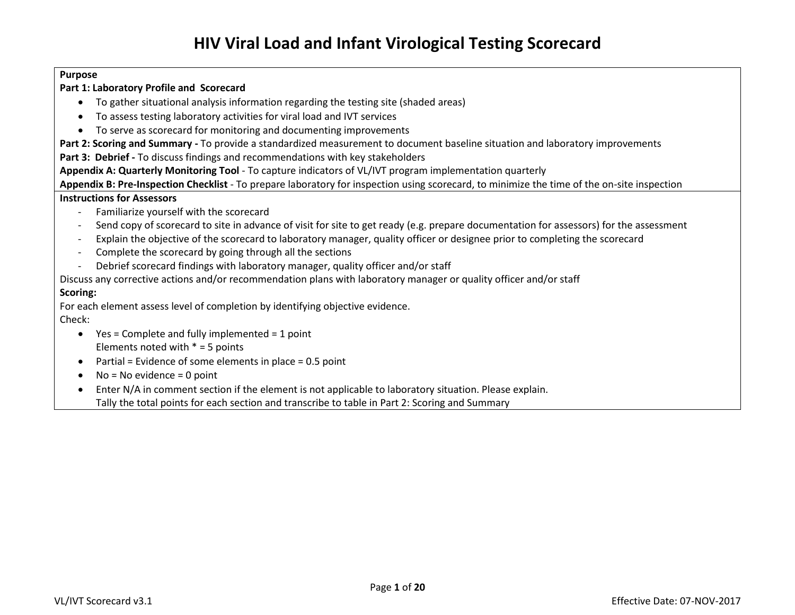#### **Purpose**

### **Part 1: Laboratory Profile and Scorecard**

- To gather situational analysis information regarding the testing site (shaded areas)
- To assess testing laboratory activities for viral load and IVT services
- To serve as scorecard for monitoring and documenting improvements

**Part 2: Scoring and Summary -** To provide a standardized measurement to document baseline situation and laboratory improvements

**Part 3: Debrief -** To discuss findings and recommendations with key stakeholders

**Appendix A: Quarterly Monitoring Tool** - To capture indicators of VL/IVT program implementation quarterly

**Appendix B: Pre-Inspection Checklist** - To prepare laboratory for inspection using scorecard, to minimize the time of the on-site inspection

#### **Instructions for Assessors**

- Familiarize yourself with the scorecard
- Send copy of scorecard to site in advance of visit for site to get ready (e.g. prepare documentation for assessors) for the assessment
- Explain the objective of the scorecard to laboratory manager, quality officer or designee prior to completing the scorecard
- Complete the scorecard by going through all the sections
- Debrief scorecard findings with laboratory manager, quality officer and/or staff

Discuss any corrective actions and/or recommendation plans with laboratory manager or quality officer and/or staff

### **Scoring:**

For each element assess level of completion by identifying objective evidence.

### Check:

- $\bullet$  Yes = Complete and fully implemented = 1 point Elements noted with  $* = 5$  points
- $\bullet$  Partial = Evidence of some elements in place = 0.5 point
- $\bullet$  No = No evidence = 0 point
- Enter N/A in comment section if the element is not applicable to laboratory situation. Please explain. Tally the total points for each section and transcribe to table in Part 2: Scoring and Summary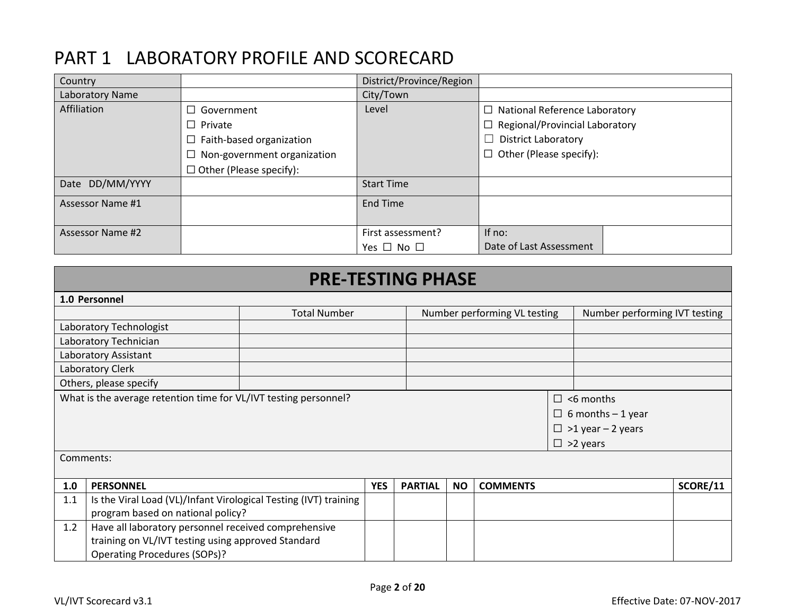## PART 1 LABORATORY PROFILE AND SCORECARD

| Country          |                                    | District/Province/Region |                                       |
|------------------|------------------------------------|--------------------------|---------------------------------------|
| Laboratory Name  |                                    | City/Town                |                                       |
| Affiliation      | Government<br>П                    | Level                    | $\Box$ National Reference Laboratory  |
|                  | $\Box$ Private                     |                          | $\Box$ Regional/Provincial Laboratory |
|                  | $\Box$ Faith-based organization    |                          | $\Box$ District Laboratory            |
|                  | $\Box$ Non-government organization |                          | $\Box$ Other (Please specify):        |
|                  | $\Box$ Other (Please specify):     |                          |                                       |
| Date DD/MM/YYYY  |                                    | <b>Start Time</b>        |                                       |
| Assessor Name #1 |                                    | <b>End Time</b>          |                                       |
|                  |                                    |                          |                                       |
| Assessor Name #2 |                                    | First assessment?        | If no:                                |
|                  |                                    | Yes $\Box$ No $\Box$     | Date of Last Assessment               |

|                                                             | <b>PRE-TESTING PHASE</b>                                         |            |                              |           |                 |                               |                                                                                             |          |  |
|-------------------------------------------------------------|------------------------------------------------------------------|------------|------------------------------|-----------|-----------------|-------------------------------|---------------------------------------------------------------------------------------------|----------|--|
|                                                             | 1.0 Personnel                                                    |            |                              |           |                 |                               |                                                                                             |          |  |
|                                                             | <b>Total Number</b>                                              |            | Number performing VL testing |           |                 | Number performing IVT testing |                                                                                             |          |  |
|                                                             | Laboratory Technologist                                          |            |                              |           |                 |                               |                                                                                             |          |  |
|                                                             | Laboratory Technician                                            |            |                              |           |                 |                               |                                                                                             |          |  |
|                                                             | Laboratory Assistant                                             |            |                              |           |                 |                               |                                                                                             |          |  |
|                                                             | Laboratory Clerk                                                 |            |                              |           |                 |                               |                                                                                             |          |  |
|                                                             | Others, please specify                                           |            |                              |           |                 |                               |                                                                                             |          |  |
|                                                             | What is the average retention time for VL/IVT testing personnel? |            |                              |           |                 |                               | $\Box$ <6 months<br>$\Box$ 6 months - 1 year<br>$\Box$ >1 year - 2 years<br>$\Box$ >2 years |          |  |
| Comments:                                                   |                                                                  |            |                              |           |                 |                               |                                                                                             |          |  |
| 1.0                                                         | <b>PERSONNEL</b>                                                 | <b>YES</b> | <b>PARTIAL</b>               | <b>NO</b> | <b>COMMENTS</b> |                               |                                                                                             | SCORE/11 |  |
| 1.1                                                         | Is the Viral Load (VL)/Infant Virological Testing (IVT) training |            |                              |           |                 |                               |                                                                                             |          |  |
|                                                             | program based on national policy?                                |            |                              |           |                 |                               |                                                                                             |          |  |
| 1.2<br>Have all laboratory personnel received comprehensive |                                                                  |            |                              |           |                 |                               |                                                                                             |          |  |
|                                                             | training on VL/IVT testing using approved Standard               |            |                              |           |                 |                               |                                                                                             |          |  |
|                                                             | <b>Operating Procedures (SOPs)?</b>                              |            |                              |           |                 |                               |                                                                                             |          |  |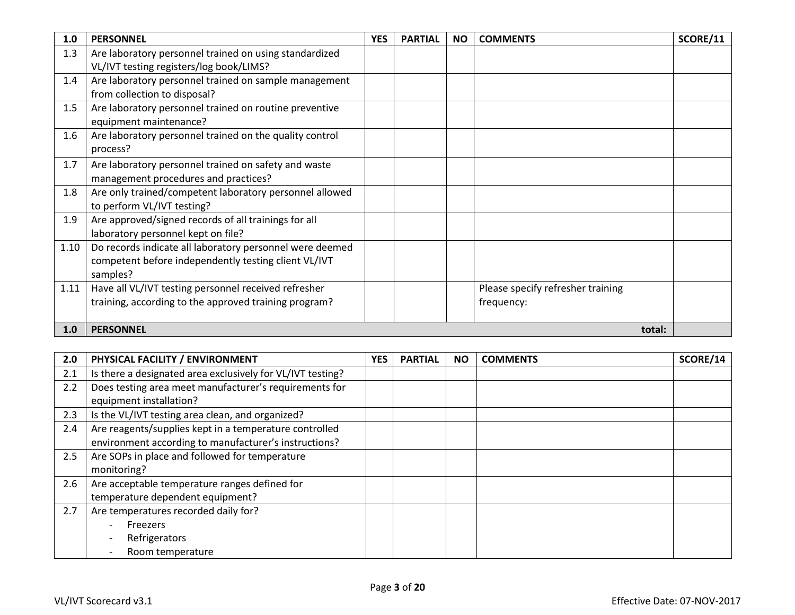| 1.0  | <b>PERSONNEL</b>                                         | <b>YES</b> | <b>PARTIAL</b> | <b>NO</b> | <b>COMMENTS</b>                   | SCORE/11 |
|------|----------------------------------------------------------|------------|----------------|-----------|-----------------------------------|----------|
| 1.3  | Are laboratory personnel trained on using standardized   |            |                |           |                                   |          |
|      | VL/IVT testing registers/log book/LIMS?                  |            |                |           |                                   |          |
| 1.4  | Are laboratory personnel trained on sample management    |            |                |           |                                   |          |
|      | from collection to disposal?                             |            |                |           |                                   |          |
| 1.5  | Are laboratory personnel trained on routine preventive   |            |                |           |                                   |          |
|      | equipment maintenance?                                   |            |                |           |                                   |          |
| 1.6  | Are laboratory personnel trained on the quality control  |            |                |           |                                   |          |
|      | process?                                                 |            |                |           |                                   |          |
| 1.7  | Are laboratory personnel trained on safety and waste     |            |                |           |                                   |          |
|      | management procedures and practices?                     |            |                |           |                                   |          |
| 1.8  | Are only trained/competent laboratory personnel allowed  |            |                |           |                                   |          |
|      | to perform VL/IVT testing?                               |            |                |           |                                   |          |
| 1.9  | Are approved/signed records of all trainings for all     |            |                |           |                                   |          |
|      | laboratory personnel kept on file?                       |            |                |           |                                   |          |
| 1.10 | Do records indicate all laboratory personnel were deemed |            |                |           |                                   |          |
|      | competent before independently testing client VL/IVT     |            |                |           |                                   |          |
|      | samples?                                                 |            |                |           |                                   |          |
| 1.11 | Have all VL/IVT testing personnel received refresher     |            |                |           | Please specify refresher training |          |
|      | training, according to the approved training program?    |            |                |           | frequency:                        |          |
|      |                                                          |            |                |           |                                   |          |
| 1.0  | <b>PERSONNEL</b>                                         |            |                |           | total:                            |          |

| 2.0 | PHYSICAL FACILITY / ENVIRONMENT                                                                                 | <b>YES</b> | <b>PARTIAL</b> | <b>NO</b> | <b>COMMENTS</b> | SCORE/14 |
|-----|-----------------------------------------------------------------------------------------------------------------|------------|----------------|-----------|-----------------|----------|
| 2.1 | Is there a designated area exclusively for VL/IVT testing?                                                      |            |                |           |                 |          |
| 2.2 | Does testing area meet manufacturer's requirements for<br>equipment installation?                               |            |                |           |                 |          |
| 2.3 | Is the VL/IVT testing area clean, and organized?                                                                |            |                |           |                 |          |
| 2.4 | Are reagents/supplies kept in a temperature controlled<br>environment according to manufacturer's instructions? |            |                |           |                 |          |
| 2.5 | Are SOPs in place and followed for temperature<br>monitoring?                                                   |            |                |           |                 |          |
| 2.6 | Are acceptable temperature ranges defined for<br>temperature dependent equipment?                               |            |                |           |                 |          |
| 2.7 | Are temperatures recorded daily for?<br>Freezers<br>Refrigerators<br>Room temperature                           |            |                |           |                 |          |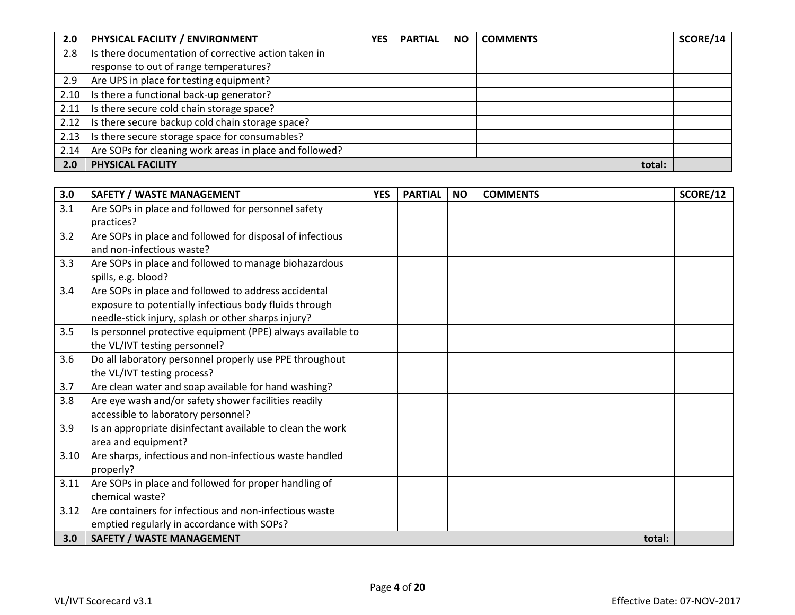| 2.0  | PHYSICAL FACILITY / ENVIRONMENT                         | <b>YES</b> | <b>PARTIAL</b> | <b>NO</b> | <b>COMMENTS</b> | SCORE/14 |
|------|---------------------------------------------------------|------------|----------------|-----------|-----------------|----------|
| 2.8  | Is there documentation of corrective action taken in    |            |                |           |                 |          |
|      | response to out of range temperatures?                  |            |                |           |                 |          |
| 2.9  | Are UPS in place for testing equipment?                 |            |                |           |                 |          |
| 2.10 | Is there a functional back-up generator?                |            |                |           |                 |          |
| 2.11 | Is there secure cold chain storage space?               |            |                |           |                 |          |
| 2.12 | Is there secure backup cold chain storage space?        |            |                |           |                 |          |
| 2.13 | Is there secure storage space for consumables?          |            |                |           |                 |          |
| 2.14 | Are SOPs for cleaning work areas in place and followed? |            |                |           |                 |          |
| 2.0  | <b>PHYSICAL FACILITY</b>                                |            |                |           | total:          |          |

| 3.0  | <b>SAFETY / WASTE MANAGEMENT</b>                            | <b>YES</b> | <b>PARTIAL</b> | <b>NO</b> | <b>COMMENTS</b> | SCORE/12 |
|------|-------------------------------------------------------------|------------|----------------|-----------|-----------------|----------|
| 3.1  | Are SOPs in place and followed for personnel safety         |            |                |           |                 |          |
|      | practices?                                                  |            |                |           |                 |          |
| 3.2  | Are SOPs in place and followed for disposal of infectious   |            |                |           |                 |          |
|      | and non-infectious waste?                                   |            |                |           |                 |          |
| 3.3  | Are SOPs in place and followed to manage biohazardous       |            |                |           |                 |          |
|      | spills, e.g. blood?                                         |            |                |           |                 |          |
| 3.4  | Are SOPs in place and followed to address accidental        |            |                |           |                 |          |
|      | exposure to potentially infectious body fluids through      |            |                |           |                 |          |
|      | needle-stick injury, splash or other sharps injury?         |            |                |           |                 |          |
| 3.5  | Is personnel protective equipment (PPE) always available to |            |                |           |                 |          |
|      | the VL/IVT testing personnel?                               |            |                |           |                 |          |
| 3.6  | Do all laboratory personnel properly use PPE throughout     |            |                |           |                 |          |
|      | the VL/IVT testing process?                                 |            |                |           |                 |          |
| 3.7  | Are clean water and soap available for hand washing?        |            |                |           |                 |          |
| 3.8  | Are eye wash and/or safety shower facilities readily        |            |                |           |                 |          |
|      | accessible to laboratory personnel?                         |            |                |           |                 |          |
| 3.9  | Is an appropriate disinfectant available to clean the work  |            |                |           |                 |          |
|      | area and equipment?                                         |            |                |           |                 |          |
| 3.10 | Are sharps, infectious and non-infectious waste handled     |            |                |           |                 |          |
|      | properly?                                                   |            |                |           |                 |          |
| 3.11 | Are SOPs in place and followed for proper handling of       |            |                |           |                 |          |
|      | chemical waste?                                             |            |                |           |                 |          |
| 3.12 | Are containers for infectious and non-infectious waste      |            |                |           |                 |          |
|      | emptied regularly in accordance with SOPs?                  |            |                |           |                 |          |
| 3.0  | <b>SAFETY / WASTE MANAGEMENT</b>                            |            |                |           | total:          |          |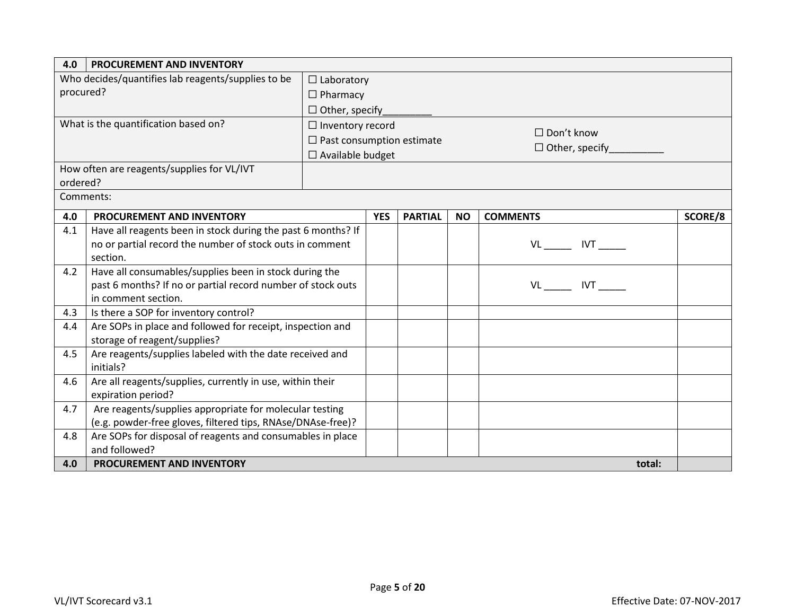| 4.0       | <b>PROCUREMENT AND INVENTORY</b>                                                |                                  |            |                |           |                       |         |  |
|-----------|---------------------------------------------------------------------------------|----------------------------------|------------|----------------|-----------|-----------------------|---------|--|
|           | Who decides/quantifies lab reagents/supplies to be                              | $\Box$ Laboratory                |            |                |           |                       |         |  |
| procured? |                                                                                 | $\Box$ Pharmacy                  |            |                |           |                       |         |  |
|           |                                                                                 | $\Box$ Other, specify            |            |                |           |                       |         |  |
|           | What is the quantification based on?                                            | $\Box$ Inventory record          |            |                |           |                       |         |  |
|           |                                                                                 | $\Box$ Past consumption estimate |            |                |           | $\Box$ Don't know     |         |  |
|           |                                                                                 | $\Box$ Available budget          |            |                |           | $\Box$ Other, specify |         |  |
|           | How often are reagents/supplies for VL/IVT                                      |                                  |            |                |           |                       |         |  |
| ordered?  |                                                                                 |                                  |            |                |           |                       |         |  |
|           | Comments:                                                                       |                                  |            |                |           |                       |         |  |
| 4.0       | <b>PROCUREMENT AND INVENTORY</b>                                                |                                  | <b>YES</b> | <b>PARTIAL</b> | <b>NO</b> | <b>COMMENTS</b>       | SCORE/8 |  |
| 4.1       | Have all reagents been in stock during the past 6 months? If                    |                                  |            |                |           |                       |         |  |
|           | no or partial record the number of stock outs in comment                        |                                  |            |                |           | VL________ IVT______  |         |  |
|           | section.                                                                        |                                  |            |                |           |                       |         |  |
| 4.2       | Have all consumables/supplies been in stock during the                          |                                  |            |                |           |                       |         |  |
|           | past 6 months? If no or partial record number of stock outs                     |                                  |            |                |           | VL IVT                |         |  |
|           | in comment section.                                                             |                                  |            |                |           |                       |         |  |
| 4.3       | Is there a SOP for inventory control?                                           |                                  |            |                |           |                       |         |  |
| 4.4       | Are SOPs in place and followed for receipt, inspection and                      |                                  |            |                |           |                       |         |  |
|           | storage of reagent/supplies?                                                    |                                  |            |                |           |                       |         |  |
| 4.5       | Are reagents/supplies labeled with the date received and                        |                                  |            |                |           |                       |         |  |
|           | initials?                                                                       |                                  |            |                |           |                       |         |  |
| 4.6       | Are all reagents/supplies, currently in use, within their<br>expiration period? |                                  |            |                |           |                       |         |  |
| 4.7       | Are reagents/supplies appropriate for molecular testing                         |                                  |            |                |           |                       |         |  |
|           | (e.g. powder-free gloves, filtered tips, RNAse/DNAse-free)?                     |                                  |            |                |           |                       |         |  |
| 4.8       | Are SOPs for disposal of reagents and consumables in place                      |                                  |            |                |           |                       |         |  |
|           | and followed?                                                                   |                                  |            |                |           |                       |         |  |
| 4.0       | PROCUREMENT AND INVENTORY                                                       |                                  |            |                |           | total:                |         |  |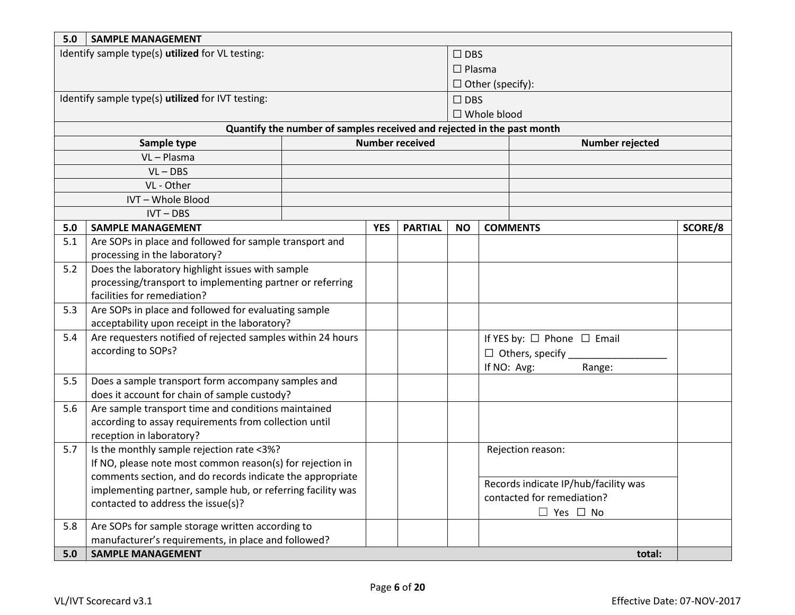| 5.0 | <b>SAMPLE MANAGEMENT</b>                                    |  |            |                        |                         |                                                                        |                                      |         |
|-----|-------------------------------------------------------------|--|------------|------------------------|-------------------------|------------------------------------------------------------------------|--------------------------------------|---------|
|     | Identify sample type(s) utilized for VL testing:            |  |            |                        | $\Box$ DBS              |                                                                        |                                      |         |
|     |                                                             |  |            |                        | $\Box$ Plasma           |                                                                        |                                      |         |
|     |                                                             |  |            |                        | $\Box$ Other (specify): |                                                                        |                                      |         |
|     | Identify sample type(s) utilized for IVT testing:           |  |            |                        | $\Box$ DBS              |                                                                        |                                      |         |
|     |                                                             |  |            |                        |                         | □ Whole blood                                                          |                                      |         |
|     |                                                             |  |            |                        |                         | Quantify the number of samples received and rejected in the past month |                                      |         |
|     | Sample type                                                 |  |            | <b>Number received</b> |                         |                                                                        | Number rejected                      |         |
|     | VL-Plasma                                                   |  |            |                        |                         |                                                                        |                                      |         |
|     | $VL - DBS$                                                  |  |            |                        |                         |                                                                        |                                      |         |
|     | VL - Other                                                  |  |            |                        |                         |                                                                        |                                      |         |
|     | IVT-Whole Blood                                             |  |            |                        |                         |                                                                        |                                      |         |
|     | $IVT - DBS$                                                 |  |            |                        |                         |                                                                        |                                      |         |
| 5.0 | <b>SAMPLE MANAGEMENT</b>                                    |  | <b>YES</b> | <b>PARTIAL</b>         | <b>NO</b>               | <b>COMMENTS</b>                                                        |                                      | SCORE/8 |
| 5.1 | Are SOPs in place and followed for sample transport and     |  |            |                        |                         |                                                                        |                                      |         |
|     | processing in the laboratory?                               |  |            |                        |                         |                                                                        |                                      |         |
| 5.2 | Does the laboratory highlight issues with sample            |  |            |                        |                         |                                                                        |                                      |         |
|     | processing/transport to implementing partner or referring   |  |            |                        |                         |                                                                        |                                      |         |
|     | facilities for remediation?                                 |  |            |                        |                         |                                                                        |                                      |         |
| 5.3 | Are SOPs in place and followed for evaluating sample        |  |            |                        |                         |                                                                        |                                      |         |
|     | acceptability upon receipt in the laboratory?               |  |            |                        |                         |                                                                        |                                      |         |
| 5.4 | Are requesters notified of rejected samples within 24 hours |  |            |                        |                         | If YES by: $\Box$ Phone $\Box$ Email                                   |                                      |         |
|     | according to SOPs?                                          |  |            |                        |                         |                                                                        |                                      |         |
|     |                                                             |  |            |                        |                         | If NO: Avg:                                                            | Range:                               |         |
| 5.5 | Does a sample transport form accompany samples and          |  |            |                        |                         |                                                                        |                                      |         |
|     | does it account for chain of sample custody?                |  |            |                        |                         |                                                                        |                                      |         |
| 5.6 | Are sample transport time and conditions maintained         |  |            |                        |                         |                                                                        |                                      |         |
|     | according to assay requirements from collection until       |  |            |                        |                         |                                                                        |                                      |         |
|     | reception in laboratory?                                    |  |            |                        |                         |                                                                        |                                      |         |
| 5.7 | Is the monthly sample rejection rate <3%?                   |  |            |                        |                         | Rejection reason:                                                      |                                      |         |
|     | If NO, please note most common reason(s) for rejection in   |  |            |                        |                         |                                                                        |                                      |         |
|     | comments section, and do records indicate the appropriate   |  |            |                        |                         |                                                                        | Records indicate IP/hub/facility was |         |
|     | implementing partner, sample hub, or referring facility was |  |            |                        |                         | contacted for remediation?                                             |                                      |         |
|     | contacted to address the issue(s)?                          |  |            |                        |                         |                                                                        | $\Box$ Yes $\Box$ No                 |         |
| 5.8 | Are SOPs for sample storage written according to            |  |            |                        |                         |                                                                        |                                      |         |
|     | manufacturer's requirements, in place and followed?         |  |            |                        |                         |                                                                        |                                      |         |
| 5.0 | <b>SAMPLE MANAGEMENT</b>                                    |  |            |                        |                         |                                                                        | total:                               |         |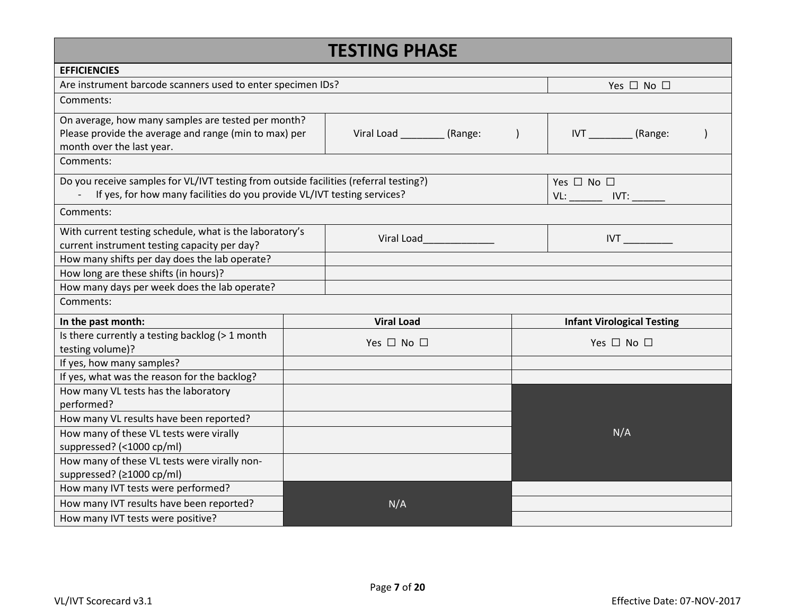|                                                                                                               |                                                         | <b>TESTING PHASE</b>          |     |                                   |  |  |  |  |
|---------------------------------------------------------------------------------------------------------------|---------------------------------------------------------|-------------------------------|-----|-----------------------------------|--|--|--|--|
| <b>EFFICIENCIES</b>                                                                                           |                                                         |                               |     |                                   |  |  |  |  |
| Are instrument barcode scanners used to enter specimen IDs?                                                   |                                                         |                               |     | Yes $\Box$ No $\Box$              |  |  |  |  |
| Comments:                                                                                                     |                                                         |                               |     |                                   |  |  |  |  |
| On average, how many samples are tested per month?                                                            |                                                         |                               |     |                                   |  |  |  |  |
| Please provide the average and range (min to max) per<br>month over the last year.                            |                                                         | Viral Load __________ (Range: |     | IVT (Range:                       |  |  |  |  |
| Comments:                                                                                                     |                                                         |                               |     |                                   |  |  |  |  |
|                                                                                                               |                                                         |                               |     |                                   |  |  |  |  |
| Do you receive samples for VL/IVT testing from outside facilities (referral testing?)<br>Yes $\Box$ No $\Box$ |                                                         |                               |     |                                   |  |  |  |  |
| If yes, for how many facilities do you provide VL/IVT testing services?                                       |                                                         |                               |     |                                   |  |  |  |  |
| Comments:                                                                                                     |                                                         |                               |     |                                   |  |  |  |  |
|                                                                                                               | With current testing schedule, what is the laboratory's |                               |     |                                   |  |  |  |  |
| current instrument testing capacity per day?                                                                  |                                                         |                               | IVT |                                   |  |  |  |  |
| How many shifts per day does the lab operate?                                                                 |                                                         |                               |     |                                   |  |  |  |  |
| How long are these shifts (in hours)?                                                                         |                                                         |                               |     |                                   |  |  |  |  |
| How many days per week does the lab operate?                                                                  |                                                         |                               |     |                                   |  |  |  |  |
| Comments:                                                                                                     |                                                         |                               |     |                                   |  |  |  |  |
| In the past month:                                                                                            |                                                         | <b>Viral Load</b>             |     | <b>Infant Virological Testing</b> |  |  |  |  |
| Is there currently a testing backlog (> 1 month                                                               |                                                         | Yes $\Box$ No $\Box$          |     | Yes $\Box$ No $\Box$              |  |  |  |  |
| testing volume)?                                                                                              |                                                         |                               |     |                                   |  |  |  |  |
| If yes, how many samples?                                                                                     |                                                         |                               |     |                                   |  |  |  |  |
| If yes, what was the reason for the backlog?                                                                  |                                                         |                               |     |                                   |  |  |  |  |
| How many VL tests has the laboratory                                                                          |                                                         |                               |     |                                   |  |  |  |  |
| performed?                                                                                                    |                                                         |                               |     |                                   |  |  |  |  |
| How many VL results have been reported?                                                                       |                                                         |                               |     |                                   |  |  |  |  |
| How many of these VL tests were virally                                                                       |                                                         |                               |     | N/A                               |  |  |  |  |
| suppressed? (<1000 cp/ml)                                                                                     |                                                         |                               |     |                                   |  |  |  |  |
| How many of these VL tests were virally non-                                                                  |                                                         |                               |     |                                   |  |  |  |  |
| suppressed? (≥1000 cp/ml)                                                                                     |                                                         |                               |     |                                   |  |  |  |  |
| How many IVT tests were performed?                                                                            |                                                         |                               |     |                                   |  |  |  |  |
| How many IVT results have been reported?                                                                      |                                                         | N/A                           |     |                                   |  |  |  |  |
| How many IVT tests were positive?                                                                             |                                                         |                               |     |                                   |  |  |  |  |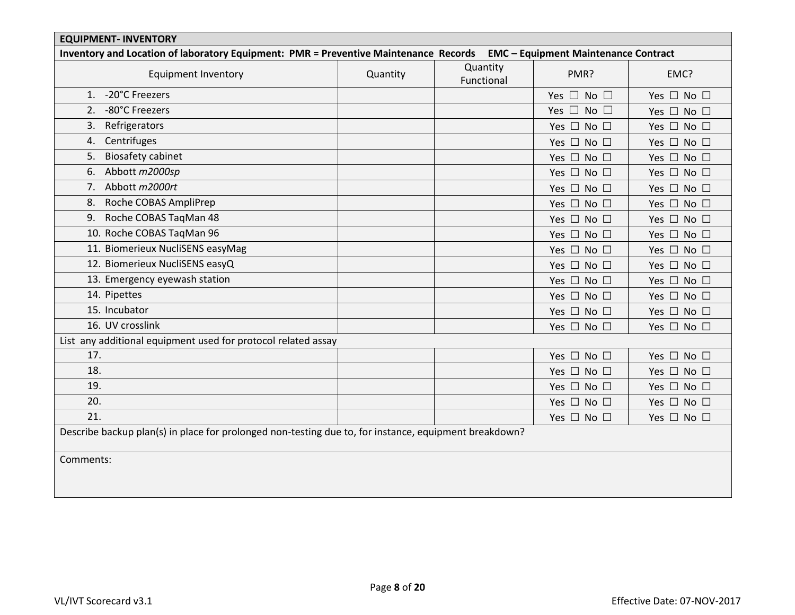| <b>EQUIPMENT- INVENTORY</b>                                                                                               |          |                        |                            |                            |  |  |  |  |  |
|---------------------------------------------------------------------------------------------------------------------------|----------|------------------------|----------------------------|----------------------------|--|--|--|--|--|
| Inventory and Location of laboratory Equipment: PMR = Preventive Maintenance Records EMC - Equipment Maintenance Contract |          |                        |                            |                            |  |  |  |  |  |
| <b>Equipment Inventory</b>                                                                                                | Quantity | Quantity<br>Functional | PMR?                       | EMC?                       |  |  |  |  |  |
| -20°C Freezers<br>1.                                                                                                      |          |                        | Yes $\Box$ No $\Box$       | Yes $\Box$ No $\Box$       |  |  |  |  |  |
| -80°C Freezers<br>2.                                                                                                      |          |                        | Yes $\Box$ No $\Box$       | Yes $\Box$ No $\Box$       |  |  |  |  |  |
| Refrigerators<br>3.                                                                                                       |          |                        | Yes $\Box$ No $\Box$       | Yes $\Box$ No $\Box$       |  |  |  |  |  |
| Centrifuges<br>4.                                                                                                         |          |                        | Yes $\Box$ No $\Box$       | Yes $\Box$ No $\Box$       |  |  |  |  |  |
| <b>Biosafety cabinet</b><br>5.                                                                                            |          |                        | Yes $\Box$ No $\Box$       | Yes $\square$ No $\square$ |  |  |  |  |  |
| Abbott m2000sp<br>6.                                                                                                      |          |                        | Yes $\Box$ No $\Box$       | Yes $\Box$ No $\Box$       |  |  |  |  |  |
| 7. Abbott m2000rt                                                                                                         |          |                        | Yes $\Box$ No $\Box$       | Yes □ No □                 |  |  |  |  |  |
| Roche COBAS AmpliPrep<br>8.                                                                                               |          |                        | Yes $\Box$ No $\Box$       | Yes $\Box$ No $\Box$       |  |  |  |  |  |
| Roche COBAS TaqMan 48<br>9.                                                                                               |          |                        | Yes $\Box$ No $\Box$       | Yes □ No □                 |  |  |  |  |  |
| 10. Roche COBAS TaqMan 96                                                                                                 |          |                        | Yes $\square$ No $\square$ | Yes □ No □                 |  |  |  |  |  |
| 11. Biomerieux NucliSENS easyMag                                                                                          |          |                        | Yes □ No □                 | Yes $\Box$ No $\Box$       |  |  |  |  |  |
| 12. Biomerieux NucliSENS easyQ                                                                                            |          |                        | Yes $\Box$ No $\Box$       | Yes □ No □                 |  |  |  |  |  |
| 13. Emergency eyewash station                                                                                             |          |                        | Yes □ No □                 | Yes $\Box$ No $\Box$       |  |  |  |  |  |
| 14. Pipettes                                                                                                              |          |                        | Yes $\Box$ No $\Box$       | Yes $\Box$ No $\Box$       |  |  |  |  |  |
| 15. Incubator                                                                                                             |          |                        | Yes $\Box$ No $\Box$       | Yes $\Box$ No $\Box$       |  |  |  |  |  |
| 16. UV crosslink                                                                                                          |          |                        | Yes $\Box$ No $\Box$       | Yes $\Box$ No $\Box$       |  |  |  |  |  |
| List any additional equipment used for protocol related assay                                                             |          |                        |                            |                            |  |  |  |  |  |
| 17.                                                                                                                       |          |                        | Yes $\Box$ No $\Box$       | Yes □ No □                 |  |  |  |  |  |
| 18.                                                                                                                       |          |                        | Yes $\square$ No $\square$ | Yes $\Box$ No $\Box$       |  |  |  |  |  |
| 19.                                                                                                                       |          |                        | Yes $\Box$ No $\Box$       | Yes □ No □                 |  |  |  |  |  |
| 20.                                                                                                                       |          |                        | Yes $\Box$ No $\Box$       | Yes $\Box$ No $\Box$       |  |  |  |  |  |
| 21.                                                                                                                       |          |                        | Yes □ No □                 | Yes □ No □                 |  |  |  |  |  |
| Describe backup plan(s) in place for prolonged non-testing due to, for instance, equipment breakdown?                     |          |                        |                            |                            |  |  |  |  |  |
| Comments:                                                                                                                 |          |                        |                            |                            |  |  |  |  |  |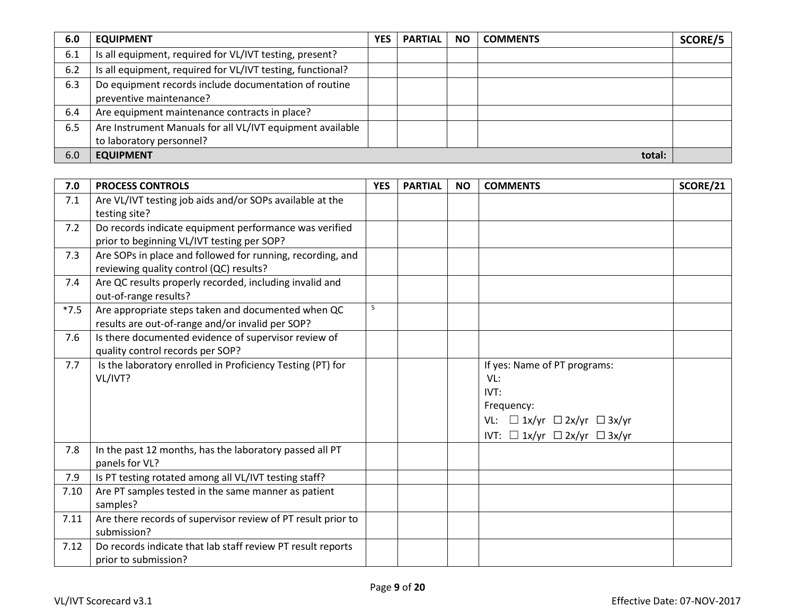| 6.0   | <b>EQUIPMENT</b>                                                                      | <b>YES</b> | <b>PARTIAL</b> | <b>NO</b> | <b>COMMENTS</b> | SCORE/5 |
|-------|---------------------------------------------------------------------------------------|------------|----------------|-----------|-----------------|---------|
| 6.1   | Is all equipment, required for VL/IVT testing, present?                               |            |                |           |                 |         |
| $6.2$ | Is all equipment, required for VL/IVT testing, functional?                            |            |                |           |                 |         |
| 6.3   | Do equipment records include documentation of routine<br>preventive maintenance?      |            |                |           |                 |         |
| 6.4   | Are equipment maintenance contracts in place?                                         |            |                |           |                 |         |
| 6.5   | Are Instrument Manuals for all VL/IVT equipment available<br>to laboratory personnel? |            |                |           |                 |         |
| 6.0   | <b>EQUIPMENT</b><br>total:                                                            |            |                |           |                 |         |

| 7.0    | <b>PROCESS CONTROLS</b>                                      | <b>YES</b> | <b>PARTIAL</b> | <b>NO</b> | <b>COMMENTS</b>                             | <b>SCORE/21</b> |
|--------|--------------------------------------------------------------|------------|----------------|-----------|---------------------------------------------|-----------------|
| 7.1    | Are VL/IVT testing job aids and/or SOPs available at the     |            |                |           |                                             |                 |
|        | testing site?                                                |            |                |           |                                             |                 |
| 7.2    | Do records indicate equipment performance was verified       |            |                |           |                                             |                 |
|        | prior to beginning VL/IVT testing per SOP?                   |            |                |           |                                             |                 |
| 7.3    | Are SOPs in place and followed for running, recording, and   |            |                |           |                                             |                 |
|        | reviewing quality control (QC) results?                      |            |                |           |                                             |                 |
| 7.4    | Are QC results properly recorded, including invalid and      |            |                |           |                                             |                 |
|        | out-of-range results?                                        |            |                |           |                                             |                 |
| $*7.5$ | Are appropriate steps taken and documented when QC           | 5          |                |           |                                             |                 |
|        | results are out-of-range and/or invalid per SOP?             |            |                |           |                                             |                 |
| 7.6    | Is there documented evidence of supervisor review of         |            |                |           |                                             |                 |
|        | quality control records per SOP?                             |            |                |           |                                             |                 |
| 7.7    | Is the laboratory enrolled in Proficiency Testing (PT) for   |            |                |           | If yes: Name of PT programs:                |                 |
|        | VL/IVT?                                                      |            |                |           | VL:                                         |                 |
|        |                                                              |            |                |           | IVT:                                        |                 |
|        |                                                              |            |                |           | Frequency:                                  |                 |
|        |                                                              |            |                |           | VL: $\Box$ 1x/yr $\Box$ 2x/yr $\Box$ 3x/yr  |                 |
|        |                                                              |            |                |           | IVT: $\Box$ 1x/yr $\Box$ 2x/yr $\Box$ 3x/yr |                 |
| 7.8    | In the past 12 months, has the laboratory passed all PT      |            |                |           |                                             |                 |
|        | panels for VL?                                               |            |                |           |                                             |                 |
| 7.9    | Is PT testing rotated among all VL/IVT testing staff?        |            |                |           |                                             |                 |
| 7.10   | Are PT samples tested in the same manner as patient          |            |                |           |                                             |                 |
|        | samples?                                                     |            |                |           |                                             |                 |
| 7.11   | Are there records of supervisor review of PT result prior to |            |                |           |                                             |                 |
|        | submission?                                                  |            |                |           |                                             |                 |
| 7.12   | Do records indicate that lab staff review PT result reports  |            |                |           |                                             |                 |
|        | prior to submission?                                         |            |                |           |                                             |                 |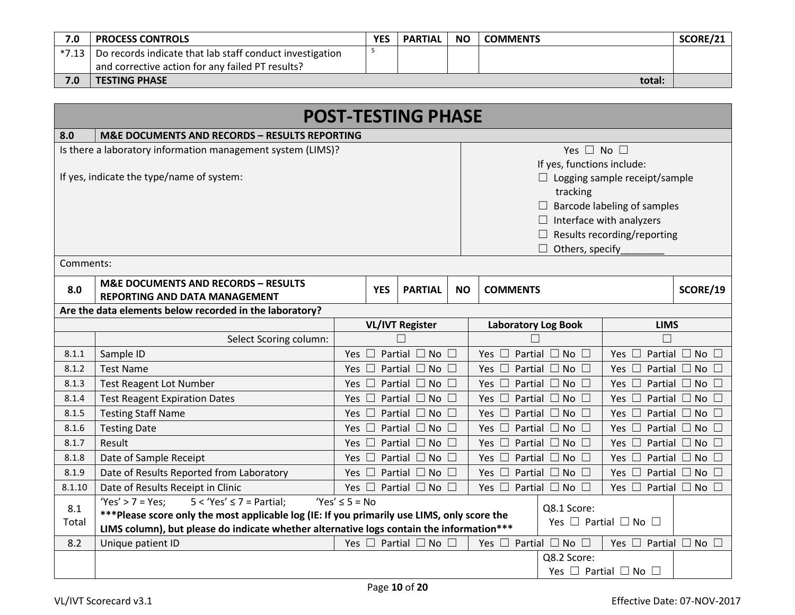| 7.0       | <b>PROCESS CONTROLS</b>                                  | <b>YES</b> | <b>PARTIAL</b> | <b>NO</b> | <b>COMMENTS</b> | SCORE/21 |
|-----------|----------------------------------------------------------|------------|----------------|-----------|-----------------|----------|
| $*7.13$ I | Do records indicate that lab staff conduct investigation |            |                |           |                 |          |
|           | and corrective action for any failed PT results?         |            |                |           |                 |          |
| 7.0       | <b>TESTING PHASE</b>                                     |            |                |           | total:          |          |

|           |                                                                                             |                    |                                 | <b>POST-TESTING PHASE</b>           |           |                                           |                                           |          |
|-----------|---------------------------------------------------------------------------------------------|--------------------|---------------------------------|-------------------------------------|-----------|-------------------------------------------|-------------------------------------------|----------|
| 8.0       | <b>M&amp;E DOCUMENTS AND RECORDS - RESULTS REPORTING</b>                                    |                    |                                 |                                     |           |                                           |                                           |          |
|           | Is there a laboratory information management system (LIMS)?                                 |                    |                                 |                                     |           | Yes $\Box$ No $\Box$                      |                                           |          |
|           |                                                                                             |                    |                                 |                                     |           | If yes, functions include:                |                                           |          |
|           | If yes, indicate the type/name of system:                                                   |                    |                                 |                                     |           | $\Box$ Logging sample receipt/sample      |                                           |          |
|           |                                                                                             |                    |                                 | tracking                            |           |                                           |                                           |          |
|           |                                                                                             |                    | Barcode labeling of samples     |                                     |           |                                           |                                           |          |
|           |                                                                                             |                    | $\Box$ Interface with analyzers |                                     |           |                                           |                                           |          |
|           |                                                                                             |                    |                                 |                                     |           |                                           | $\Box$ Results recording/reporting        |          |
|           |                                                                                             |                    |                                 |                                     |           | Others, specify                           |                                           |          |
| Comments: |                                                                                             |                    |                                 |                                     |           |                                           |                                           |          |
| 8.0       | <b>M&amp;E DOCUMENTS AND RECORDS - RESULTS</b>                                              |                    | <b>YES</b>                      | <b>PARTIAL</b>                      | <b>NO</b> | <b>COMMENTS</b>                           |                                           | SCORE/19 |
|           | <b>REPORTING AND DATA MANAGEMENT</b>                                                        |                    |                                 |                                     |           |                                           |                                           |          |
|           | Are the data elements below recorded in the laboratory?                                     |                    |                                 |                                     |           |                                           |                                           |          |
|           |                                                                                             |                    |                                 | <b>VL/IVT Register</b>              |           | <b>Laboratory Log Book</b>                | <b>LIMS</b>                               |          |
|           | Select Scoring column:                                                                      |                    |                                 |                                     |           |                                           |                                           |          |
| 8.1.1     | Sample ID                                                                                   | Yes $\Box$         |                                 | Partial $\Box$ No $\Box$            |           | Partial $\Box$ No $\Box$<br>Yes $\Box$    | Partial $\Box$ No $\Box$<br>Yes $\square$ |          |
| 8.1.2     | <b>Test Name</b>                                                                            | Yes $\Box$         |                                 | Partial $\Box$ No $\Box$            |           | Yes $\square$<br>Partial $\Box$ No $\Box$ | Partial $\Box$ No $\Box$<br>Yes $\square$ |          |
| 8.1.3     | <b>Test Reagent Lot Number</b>                                                              |                    |                                 | Yes $\Box$ Partial $\Box$ No $\Box$ |           | Yes $\square$<br>Partial $\Box$ No $\Box$ | Partial $\Box$ No $\Box$<br>Yes $\square$ |          |
| 8.1.4     | <b>Test Reagent Expiration Dates</b>                                                        | Yes $\square$      |                                 | Partial $\Box$ No $\Box$            |           | Yes $\square$<br>Partial $\Box$ No $\Box$ | Partial $\Box$ No $\Box$<br>Yes $\square$ |          |
| 8.1.5     | <b>Testing Staff Name</b>                                                                   | Yes $\square$      |                                 | Partial $\Box$ No $\Box$            |           | Yes $\square$<br>Partial $\Box$ No $\Box$ | Partial $\Box$ No $\Box$<br>Yes $\square$ |          |
| 8.1.6     | <b>Testing Date</b>                                                                         | Yes $\Box$         |                                 | Partial $\Box$ No $\Box$            |           | Yes $\square$<br>Partial $\Box$ No $\Box$ | Partial $\Box$ No $\Box$<br>Yes $\square$ |          |
| 8.1.7     | Result                                                                                      | Yes $\Box$         |                                 | Partial $\Box$ No $\Box$            |           | Yes $\square$<br>Partial $\Box$ No $\Box$ | Partial $\Box$ No $\Box$<br>Yes $\square$ |          |
| 8.1.8     | Date of Sample Receipt                                                                      | Yes $\Box$         |                                 | Partial $\Box$ No $\Box$            |           | Yes $\square$<br>Partial $\Box$ No $\Box$ | Partial $\Box$ No $\Box$<br>Yes $\square$ |          |
| 8.1.9     | Date of Results Reported from Laboratory                                                    | Yes $\square$      |                                 | Partial $\Box$ No $\Box$            |           | Yes $\square$<br>Partial $\Box$ No $\Box$ | Partial $\Box$ No $\Box$<br>Yes $\square$ |          |
| 8.1.10    | Date of Results Receipt in Clinic<br>$Yes' > 7 = Yes;$<br>$5 < 'Yes' \le 7 = Partial;$      | $Yes' \leq 5 = No$ |                                 | Yes $\Box$ Partial $\Box$ No $\Box$ |           | Partial $\Box$ No $\Box$<br>Yes $\square$ | Yes $\Box$ Partial $\Box$ No $\Box$       |          |
| 8.1       | ***Please score only the most applicable log (IE: If you primarily use LIMS, only score the |                    |                                 |                                     |           | Q8.1 Score:                               |                                           |          |
| Total     | LIMS column), but please do indicate whether alternative logs contain the information***    |                    |                                 |                                     |           |                                           | Yes $\Box$ Partial $\Box$ No $\Box$       |          |
| 8.2       | Unique patient ID                                                                           |                    |                                 | Yes $\Box$ Partial $\Box$ No $\Box$ |           | Yes $\Box$ Partial $\Box$ No $\Box$       | Yes $\Box$ Partial $\Box$ No $\Box$       |          |
|           |                                                                                             |                    |                                 |                                     |           | Q8.2 Score:                               |                                           |          |
|           |                                                                                             |                    |                                 |                                     |           |                                           | Yes $\Box$ Partial $\Box$ No $\Box$       |          |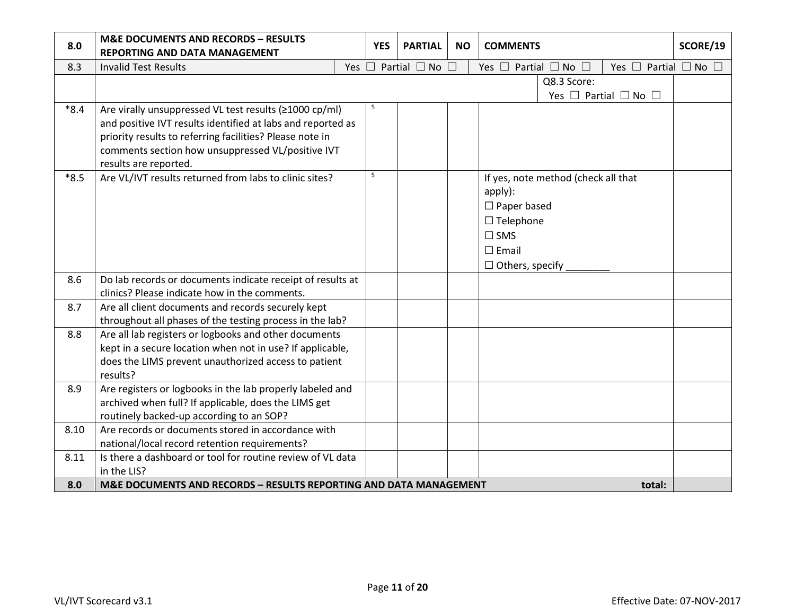| 8.0    | <b>M&amp;E DOCUMENTS AND RECORDS - RESULTS</b><br>REPORTING AND DATA MANAGEMENT                                                                                                                                                                                 | <b>YES</b> | <b>PARTIAL</b>                      | <b>NO</b> | <b>COMMENTS</b>                                                                                                 |                                     |                                     | SCORE/19 |
|--------|-----------------------------------------------------------------------------------------------------------------------------------------------------------------------------------------------------------------------------------------------------------------|------------|-------------------------------------|-----------|-----------------------------------------------------------------------------------------------------------------|-------------------------------------|-------------------------------------|----------|
| 8.3    | <b>Invalid Test Results</b>                                                                                                                                                                                                                                     |            | Yes $\Box$ Partial $\Box$ No $\Box$ |           | Yes $\Box$ Partial $\Box$ No $\Box$                                                                             |                                     | Yes $\Box$ Partial $\Box$ No $\Box$ |          |
|        |                                                                                                                                                                                                                                                                 |            |                                     |           |                                                                                                                 | Q8.3 Score:                         | Yes $\Box$ Partial $\Box$ No $\Box$ |          |
| $*8.4$ | Are virally unsuppressed VL test results (≥1000 cp/ml)<br>and positive IVT results identified at labs and reported as<br>priority results to referring facilities? Please note in<br>comments section how unsuppressed VL/positive IVT<br>results are reported. | 5          |                                     |           |                                                                                                                 |                                     |                                     |          |
| $*8.5$ | Are VL/IVT results returned from labs to clinic sites?                                                                                                                                                                                                          | 5          |                                     |           | apply):<br>$\Box$ Paper based<br>$\Box$ Telephone<br>$\square$ SMS<br>$\square$ Email<br>$\Box$ Others, specify | If yes, note method (check all that |                                     |          |
| 8.6    | Do lab records or documents indicate receipt of results at<br>clinics? Please indicate how in the comments.                                                                                                                                                     |            |                                     |           |                                                                                                                 |                                     |                                     |          |
| 8.7    | Are all client documents and records securely kept<br>throughout all phases of the testing process in the lab?                                                                                                                                                  |            |                                     |           |                                                                                                                 |                                     |                                     |          |
| 8.8    | Are all lab registers or logbooks and other documents<br>kept in a secure location when not in use? If applicable,<br>does the LIMS prevent unauthorized access to patient<br>results?                                                                          |            |                                     |           |                                                                                                                 |                                     |                                     |          |
| 8.9    | Are registers or logbooks in the lab properly labeled and<br>archived when full? If applicable, does the LIMS get<br>routinely backed-up according to an SOP?                                                                                                   |            |                                     |           |                                                                                                                 |                                     |                                     |          |
| 8.10   | Are records or documents stored in accordance with<br>national/local record retention requirements?                                                                                                                                                             |            |                                     |           |                                                                                                                 |                                     |                                     |          |
| 8.11   | Is there a dashboard or tool for routine review of VL data<br>in the LIS?                                                                                                                                                                                       |            |                                     |           |                                                                                                                 |                                     |                                     |          |
| 8.0    | M&E DOCUMENTS AND RECORDS - RESULTS REPORTING AND DATA MANAGEMENT                                                                                                                                                                                               |            |                                     |           |                                                                                                                 |                                     | total:                              |          |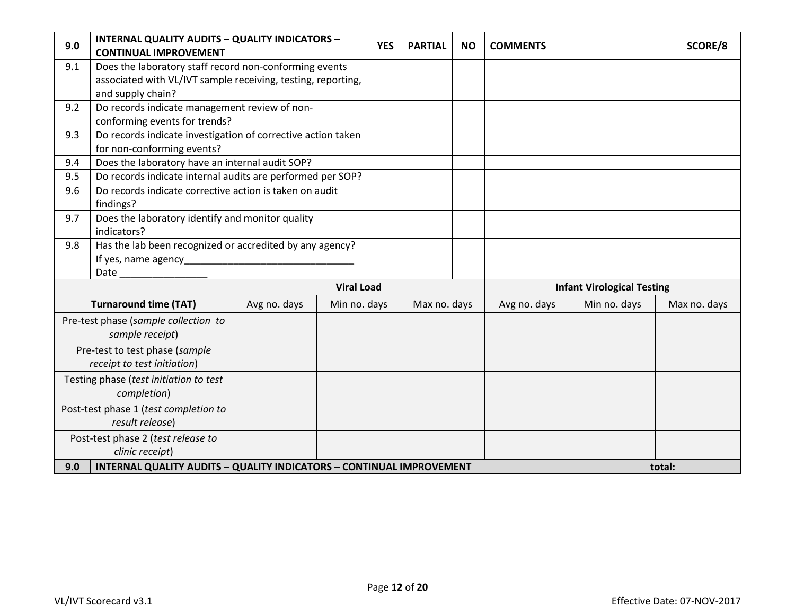| 9.0 | <b>INTERNAL QUALITY AUDITS - QUALITY INDICATORS -</b><br><b>CONTINUAL IMPROVEMENT</b> |              |                   | <b>YES</b> | <b>PARTIAL</b> | <b>NO</b> | <b>COMMENTS</b> |                                   |        | SCORE/8      |
|-----|---------------------------------------------------------------------------------------|--------------|-------------------|------------|----------------|-----------|-----------------|-----------------------------------|--------|--------------|
| 9.1 | Does the laboratory staff record non-conforming events                                |              |                   |            |                |           |                 |                                   |        |              |
|     | associated with VL/IVT sample receiving, testing, reporting,                          |              |                   |            |                |           |                 |                                   |        |              |
|     | and supply chain?                                                                     |              |                   |            |                |           |                 |                                   |        |              |
| 9.2 | Do records indicate management review of non-                                         |              |                   |            |                |           |                 |                                   |        |              |
|     | conforming events for trends?                                                         |              |                   |            |                |           |                 |                                   |        |              |
| 9.3 | Do records indicate investigation of corrective action taken                          |              |                   |            |                |           |                 |                                   |        |              |
|     | for non-conforming events?                                                            |              |                   |            |                |           |                 |                                   |        |              |
| 9.4 | Does the laboratory have an internal audit SOP?                                       |              |                   |            |                |           |                 |                                   |        |              |
| 9.5 | Do records indicate internal audits are performed per SOP?                            |              |                   |            |                |           |                 |                                   |        |              |
| 9.6 | Do records indicate corrective action is taken on audit<br>findings?                  |              |                   |            |                |           |                 |                                   |        |              |
| 9.7 | Does the laboratory identify and monitor quality<br>indicators?                       |              |                   |            |                |           |                 |                                   |        |              |
| 9.8 | Has the lab been recognized or accredited by any agency?                              |              |                   |            |                |           |                 |                                   |        |              |
|     | If yes, name agency                                                                   |              |                   |            |                |           |                 |                                   |        |              |
|     | Date                                                                                  |              |                   |            |                |           |                 |                                   |        |              |
|     |                                                                                       |              | <b>Viral Load</b> |            |                |           |                 | <b>Infant Virological Testing</b> |        |              |
|     | <b>Turnaround time (TAT)</b>                                                          | Avg no. days | Min no. days      |            | Max no. days   |           | Avg no. days    | Min no. days                      |        | Max no. days |
|     | Pre-test phase (sample collection to<br>sample receipt)                               |              |                   |            |                |           |                 |                                   |        |              |
|     | Pre-test to test phase (sample                                                        |              |                   |            |                |           |                 |                                   |        |              |
|     | receipt to test initiation)                                                           |              |                   |            |                |           |                 |                                   |        |              |
|     | Testing phase (test initiation to test                                                |              |                   |            |                |           |                 |                                   |        |              |
|     | completion)                                                                           |              |                   |            |                |           |                 |                                   |        |              |
|     | Post-test phase 1 (test completion to<br>result release)                              |              |                   |            |                |           |                 |                                   |        |              |
|     | Post-test phase 2 (test release to<br>clinic receipt)                                 |              |                   |            |                |           |                 |                                   |        |              |
| 9.0 | <b>INTERNAL QUALITY AUDITS - QUALITY INDICATORS - CONTINUAL IMPROVEMENT</b>           |              |                   |            |                |           |                 |                                   | total: |              |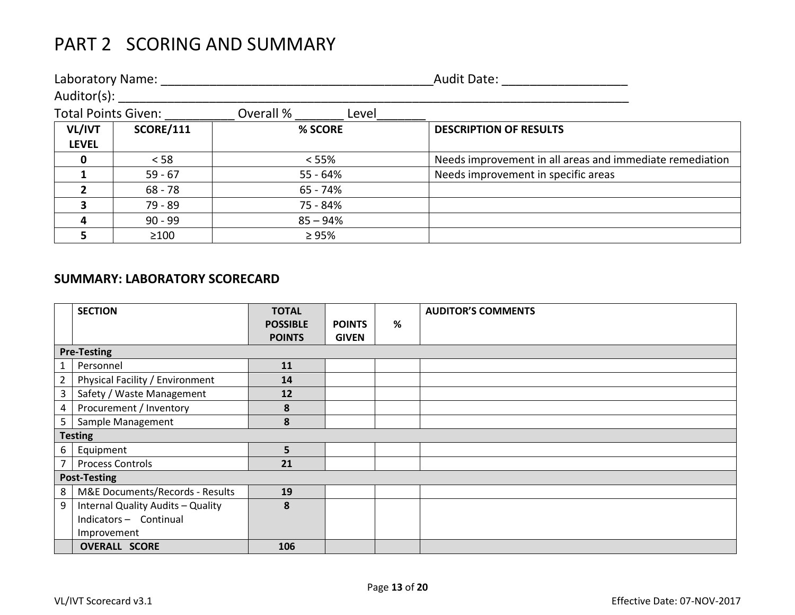## PART 2 SCORING AND SUMMARY

| Laboratory Name:           |                  |                    | <b>Audit Date:</b>                                       |
|----------------------------|------------------|--------------------|----------------------------------------------------------|
| Auditor(s):                |                  |                    |                                                          |
| <b>Total Points Given:</b> |                  | Overall %<br>Level |                                                          |
| VL/IVT<br><b>LEVEL</b>     | <b>SCORE/111</b> | % SCORE            | <b>DESCRIPTION OF RESULTS</b>                            |
| 0                          | < 58             | < 55%              | Needs improvement in all areas and immediate remediation |
|                            | $59 - 67$        | 55 - 64%           | Needs improvement in specific areas                      |
|                            | $68 - 78$        | 65 - 74%           |                                                          |
|                            | 79 - 89          | 75 - 84%           |                                                          |
| 4                          | $90 - 99$        | $85 - 94%$         |                                                          |
|                            | $\geq 100$       | $\geq 95\%$        |                                                          |

### **SUMMARY: LABORATORY SCORECARD**

|                | <b>SECTION</b>                    | <b>TOTAL</b>    |               |   | <b>AUDITOR'S COMMENTS</b> |
|----------------|-----------------------------------|-----------------|---------------|---|---------------------------|
|                |                                   | <b>POSSIBLE</b> | <b>POINTS</b> | % |                           |
|                |                                   | <b>POINTS</b>   | <b>GIVEN</b>  |   |                           |
|                | <b>Pre-Testing</b>                |                 |               |   |                           |
|                | Personnel                         | 11              |               |   |                           |
| 2              | Physical Facility / Environment   | 14              |               |   |                           |
| 3              | Safety / Waste Management         | 12              |               |   |                           |
| 4              | Procurement / Inventory           | 8               |               |   |                           |
| 5              | Sample Management                 | 8               |               |   |                           |
|                | <b>Testing</b>                    |                 |               |   |                           |
| 6              | Equipment                         | 5               |               |   |                           |
| $\overline{7}$ | <b>Process Controls</b>           | 21              |               |   |                           |
|                | <b>Post-Testing</b>               |                 |               |   |                           |
| 8              | M&E Documents/Records - Results   | 19              |               |   |                           |
| 9              | Internal Quality Audits - Quality | 8               |               |   |                           |
|                | Indicators - Continual            |                 |               |   |                           |
|                | Improvement                       |                 |               |   |                           |
|                | <b>OVERALL SCORE</b>              | 106             |               |   |                           |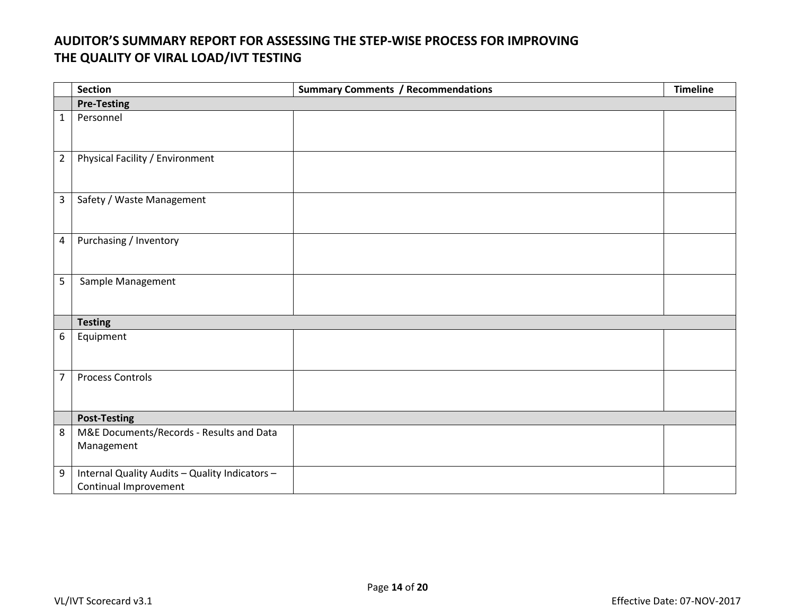## **AUDITOR'S SUMMARY REPORT FOR ASSESSING THE STEP-WISE PROCESS FOR IMPROVING THE QUALITY OF VIRAL LOAD/IVT TESTING**

|                  | <b>Section</b>                                                          | <b>Summary Comments / Recommendations</b> | <b>Timeline</b> |
|------------------|-------------------------------------------------------------------------|-------------------------------------------|-----------------|
|                  | <b>Pre-Testing</b>                                                      |                                           |                 |
| $\mathbf{1}$     | Personnel                                                               |                                           |                 |
| $\overline{2}$   | Physical Facility / Environment                                         |                                           |                 |
| $\overline{3}$   | Safety / Waste Management                                               |                                           |                 |
| $\overline{4}$   | Purchasing / Inventory                                                  |                                           |                 |
| 5                | Sample Management                                                       |                                           |                 |
|                  | <b>Testing</b>                                                          |                                           |                 |
| 6                | Equipment                                                               |                                           |                 |
| $\overline{7}$   | <b>Process Controls</b>                                                 |                                           |                 |
|                  | <b>Post-Testing</b>                                                     |                                           |                 |
| 8                | M&E Documents/Records - Results and Data<br>Management                  |                                           |                 |
| $\boldsymbol{9}$ | Internal Quality Audits - Quality Indicators -<br>Continual Improvement |                                           |                 |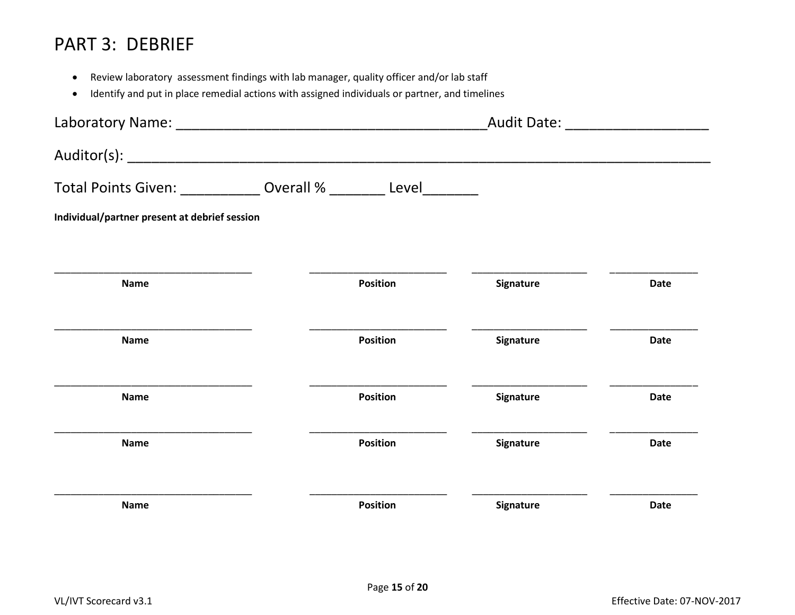## PART 3: DEBRIEF

- Review laboratory assessment findings with lab manager, quality officer and/or lab staff
- Identify and put in place remedial actions with assigned individuals or partner, and timelines

| Laboratory Name: Mannelland Management and Management and Management and Management and Management and Management and Management and Management and Management and Management and Management and Management and Management and |                                                                     |                  | <u>and the state</u> |
|--------------------------------------------------------------------------------------------------------------------------------------------------------------------------------------------------------------------------------|---------------------------------------------------------------------|------------------|----------------------|
|                                                                                                                                                                                                                                |                                                                     |                  |                      |
|                                                                                                                                                                                                                                | Total Points Given: _____________ Overall % _________ Level________ |                  |                      |
| Individual/partner present at debrief session                                                                                                                                                                                  |                                                                     |                  |                      |
|                                                                                                                                                                                                                                |                                                                     |                  |                      |
| <b>Name</b>                                                                                                                                                                                                                    | <b>Position</b>                                                     | <b>Signature</b> | <b>Date</b>          |
|                                                                                                                                                                                                                                |                                                                     |                  |                      |
| <b>Name</b>                                                                                                                                                                                                                    | <b>Position</b>                                                     | <b>Signature</b> | <b>Date</b>          |
|                                                                                                                                                                                                                                |                                                                     |                  |                      |
| <b>Name</b>                                                                                                                                                                                                                    | <b>Position</b>                                                     | <b>Signature</b> | <b>Date</b>          |
| <b>Name</b>                                                                                                                                                                                                                    | <b>Position</b>                                                     | <b>Signature</b> | Date                 |
|                                                                                                                                                                                                                                |                                                                     |                  |                      |
| <b>Name</b>                                                                                                                                                                                                                    | <b>Position</b>                                                     | Signature        | <b>Date</b>          |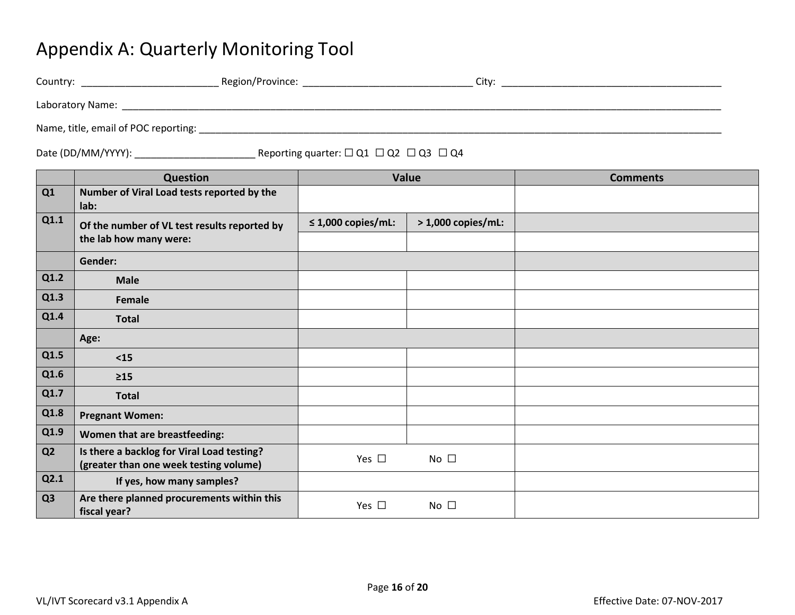## Appendix A: Quarterly Monitoring Tool

| Country:                             | Region/Province: | Citv: |
|--------------------------------------|------------------|-------|
| Laboratory Name:                     |                  |       |
| Name, title, email of POC reporting: |                  |       |

## Date (DD/MM/YYYY): \_\_\_\_\_\_\_\_\_\_\_\_\_\_\_\_\_\_\_\_\_\_ Reporting quarter: ☐ Q1 ☐ Q2 ☐ Q3 ☐ Q4

|                | Question                                                   |                         | <b>Value</b>        | <b>Comments</b> |
|----------------|------------------------------------------------------------|-------------------------|---------------------|-----------------|
| Q1             | Number of Viral Load tests reported by the<br>lab:         |                         |                     |                 |
| Q1.1           | Of the number of VL test results reported by               | $\leq$ 1,000 copies/mL: | $>1,000$ copies/mL: |                 |
|                | the lab how many were:                                     |                         |                     |                 |
|                | Gender:                                                    |                         |                     |                 |
| Q1.2           | <b>Male</b>                                                |                         |                     |                 |
| Q1.3           | Female                                                     |                         |                     |                 |
| Q1.4           | <b>Total</b>                                               |                         |                     |                 |
|                | Age:                                                       |                         |                     |                 |
| Q1.5           | $15$                                                       |                         |                     |                 |
| Q1.6           | $\geq 15$                                                  |                         |                     |                 |
| Q1.7           | <b>Total</b>                                               |                         |                     |                 |
| Q1.8           | <b>Pregnant Women:</b>                                     |                         |                     |                 |
| Q1.9           | Women that are breastfeeding:                              |                         |                     |                 |
| Q <sub>2</sub> | Is there a backlog for Viral Load testing?                 | Yes $\Box$              | No $\square$        |                 |
|                | (greater than one week testing volume)                     |                         |                     |                 |
| Q2.1           | If yes, how many samples?                                  |                         |                     |                 |
| Q <sub>3</sub> | Are there planned procurements within this<br>fiscal year? | Yes $\square$           | No $\square$        |                 |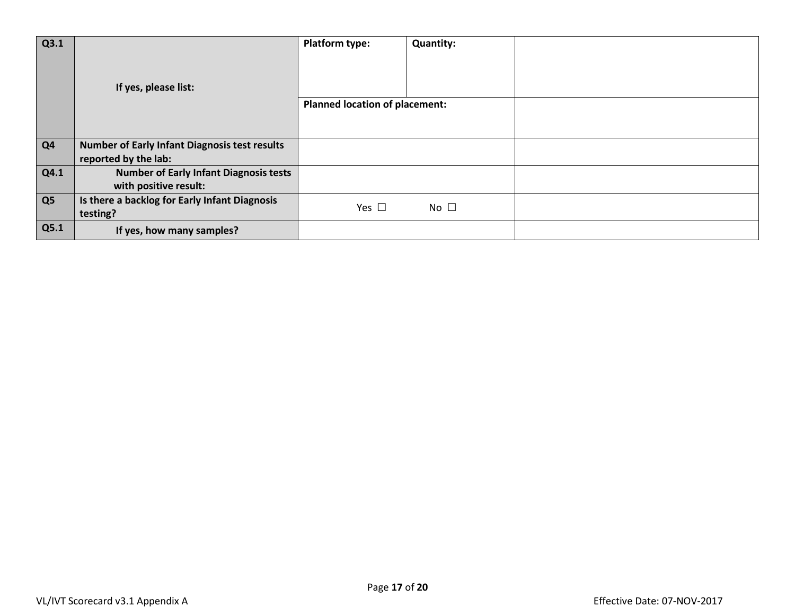| Q3.1 |                                                           | <b>Platform type:</b>                 | <b>Quantity:</b> |  |
|------|-----------------------------------------------------------|---------------------------------------|------------------|--|
|      | If yes, please list:                                      |                                       |                  |  |
|      |                                                           | <b>Planned location of placement:</b> |                  |  |
|      |                                                           |                                       |                  |  |
| Q4   | <b>Number of Early Infant Diagnosis test results</b>      |                                       |                  |  |
|      | reported by the lab:                                      |                                       |                  |  |
| Q4.1 | <b>Number of Early Infant Diagnosis tests</b>             |                                       |                  |  |
|      | with positive result:                                     |                                       |                  |  |
| Q5   | Is there a backlog for Early Infant Diagnosis<br>testing? | Yes $\square$                         | $No$ $\square$   |  |
| Q5.1 | If yes, how many samples?                                 |                                       |                  |  |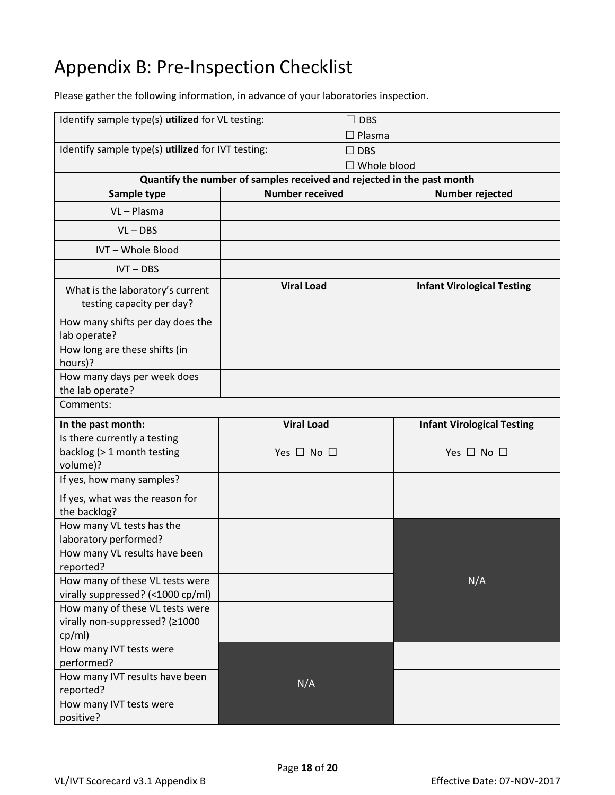# Appendix B: Pre-Inspection Checklist

Please gather the following information, in advance of your laboratories inspection.

| Identify sample type(s) utilized for VL testing:                            |                                                                        | <b>DBS</b><br>$\Box$ Plasma         |                                   |
|-----------------------------------------------------------------------------|------------------------------------------------------------------------|-------------------------------------|-----------------------------------|
| Identify sample type(s) utilized for IVT testing:                           |                                                                        | $\square$ DBS<br>$\Box$ Whole blood |                                   |
|                                                                             | Quantify the number of samples received and rejected in the past month |                                     |                                   |
| Sample type                                                                 | <b>Number received</b>                                                 |                                     | Number rejected                   |
| VL-Plasma                                                                   |                                                                        |                                     |                                   |
| $VL - DBS$                                                                  |                                                                        |                                     |                                   |
| IVT - Whole Blood                                                           |                                                                        |                                     |                                   |
| $IVT - DBS$                                                                 |                                                                        |                                     |                                   |
| What is the laboratory's current<br>testing capacity per day?               | <b>Viral Load</b>                                                      |                                     | <b>Infant Virological Testing</b> |
| How many shifts per day does the<br>lab operate?                            |                                                                        |                                     |                                   |
| How long are these shifts (in<br>hours)?                                    |                                                                        |                                     |                                   |
| How many days per week does<br>the lab operate?                             |                                                                        |                                     |                                   |
| Comments:                                                                   |                                                                        |                                     |                                   |
| In the past month:                                                          | <b>Viral Load</b>                                                      |                                     | <b>Infant Virological Testing</b> |
|                                                                             |                                                                        |                                     |                                   |
| Is there currently a testing<br>backlog (> 1 month testing<br>volume)?      | Yes $\Box$ No $\Box$                                                   |                                     | Yes $\Box$ No $\Box$              |
| If yes, how many samples?                                                   |                                                                        |                                     |                                   |
| If yes, what was the reason for<br>the backlog?                             |                                                                        |                                     |                                   |
| How many VL tests has the<br>laboratory performed?                          |                                                                        |                                     |                                   |
| How many VL results have been<br>reported?                                  |                                                                        |                                     |                                   |
| How many of these VL tests were<br>virally suppressed? (<1000 cp/ml)        |                                                                        |                                     | N/A                               |
| How many of these VL tests were<br>virally non-suppressed? (≥1000<br>cp/ml) |                                                                        |                                     |                                   |
| How many IVT tests were<br>performed?                                       |                                                                        |                                     |                                   |
| How many IVT results have been<br>reported?<br>How many IVT tests were      | N/A                                                                    |                                     |                                   |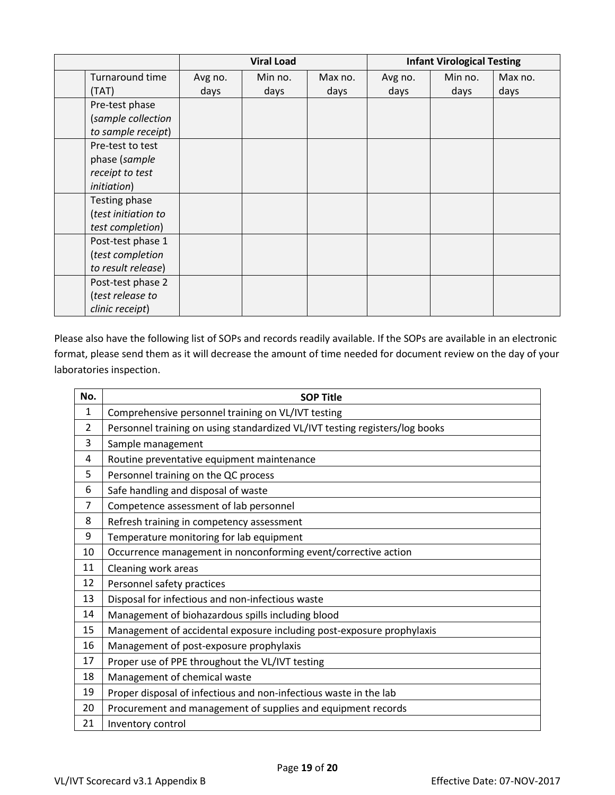|  |                     | <b>Viral Load</b> |         |         | <b>Infant Virological Testing</b> |         |         |
|--|---------------------|-------------------|---------|---------|-----------------------------------|---------|---------|
|  | Turnaround time     | Avg no.           | Min no. | Max no. | Avg no.                           | Min no. | Max no. |
|  | (TAT)               | days              | days    | days    | days                              | days    | days    |
|  | Pre-test phase      |                   |         |         |                                   |         |         |
|  | (sample collection  |                   |         |         |                                   |         |         |
|  | to sample receipt)  |                   |         |         |                                   |         |         |
|  | Pre-test to test    |                   |         |         |                                   |         |         |
|  | phase (sample       |                   |         |         |                                   |         |         |
|  | receipt to test     |                   |         |         |                                   |         |         |
|  | <i>initiation</i> ) |                   |         |         |                                   |         |         |
|  | Testing phase       |                   |         |         |                                   |         |         |
|  | (test initiation to |                   |         |         |                                   |         |         |
|  | test completion)    |                   |         |         |                                   |         |         |
|  | Post-test phase 1   |                   |         |         |                                   |         |         |
|  | (test completion    |                   |         |         |                                   |         |         |
|  | to result release)  |                   |         |         |                                   |         |         |
|  | Post-test phase 2   |                   |         |         |                                   |         |         |
|  | (test release to    |                   |         |         |                                   |         |         |
|  | clinic receipt)     |                   |         |         |                                   |         |         |

Please also have the following list of SOPs and records readily available. If the SOPs are available in an electronic format, please send them as it will decrease the amount of time needed for document review on the day of your laboratories inspection.

| No.            | <b>SOP Title</b>                                                            |  |  |  |  |  |
|----------------|-----------------------------------------------------------------------------|--|--|--|--|--|
| $\mathbf{1}$   | Comprehensive personnel training on VL/IVT testing                          |  |  |  |  |  |
| $\overline{2}$ | Personnel training on using standardized VL/IVT testing registers/log books |  |  |  |  |  |
| 3              | Sample management                                                           |  |  |  |  |  |
| 4              | Routine preventative equipment maintenance                                  |  |  |  |  |  |
| 5              | Personnel training on the QC process                                        |  |  |  |  |  |
| 6              | Safe handling and disposal of waste                                         |  |  |  |  |  |
| $\overline{7}$ | Competence assessment of lab personnel                                      |  |  |  |  |  |
| 8              | Refresh training in competency assessment                                   |  |  |  |  |  |
| 9              | Temperature monitoring for lab equipment                                    |  |  |  |  |  |
| 10             | Occurrence management in nonconforming event/corrective action              |  |  |  |  |  |
| 11             | Cleaning work areas                                                         |  |  |  |  |  |
| 12             | Personnel safety practices                                                  |  |  |  |  |  |
| 13             | Disposal for infectious and non-infectious waste                            |  |  |  |  |  |
| 14             | Management of biohazardous spills including blood                           |  |  |  |  |  |
| 15             | Management of accidental exposure including post-exposure prophylaxis       |  |  |  |  |  |
| 16             | Management of post-exposure prophylaxis                                     |  |  |  |  |  |
| 17             | Proper use of PPE throughout the VL/IVT testing                             |  |  |  |  |  |
| 18             | Management of chemical waste                                                |  |  |  |  |  |
| 19             | Proper disposal of infectious and non-infectious waste in the lab           |  |  |  |  |  |
| 20             | Procurement and management of supplies and equipment records                |  |  |  |  |  |
| 21             | Inventory control                                                           |  |  |  |  |  |